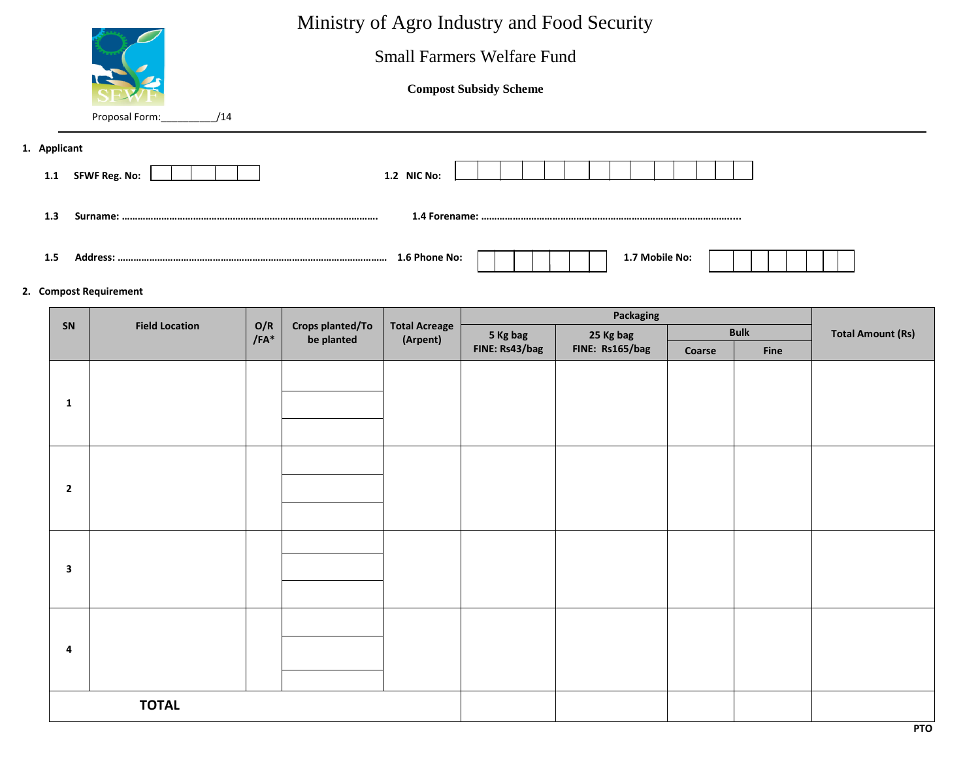|                | Proposal Form:<br>/14            |             |                                |                                  | <b>Small Farmers Welfare Fund</b><br><b>Compost Subsidy Scheme</b> | Ministry of Agro Industry and Food Security |        |                     |                          |
|----------------|----------------------------------|-------------|--------------------------------|----------------------------------|--------------------------------------------------------------------|---------------------------------------------|--------|---------------------|--------------------------|
| 1. Applicant   |                                  |             |                                |                                  |                                                                    |                                             |        |                     |                          |
|                | 1.1 SFWF Reg. No:<br>1.2 NIC No: |             |                                |                                  |                                                                    |                                             |        |                     |                          |
| 1.3            |                                  |             |                                |                                  |                                                                    |                                             |        |                     |                          |
| 1.5            |                                  |             |                                |                                  |                                                                    | 1.7 Mobile No:                              |        |                     |                          |
|                | 2. Compost Requirement           |             |                                |                                  |                                                                    |                                             |        |                     |                          |
|                |                                  |             |                                |                                  |                                                                    |                                             |        |                     |                          |
|                |                                  |             |                                |                                  |                                                                    | <b>Packaging</b>                            |        |                     |                          |
| <b>SN</b>      | <b>Field Location</b>            | O/R<br>/FA* | Crops planted/To<br>be planted | <b>Total Acreage</b><br>(Arpent) | 5 Kg bag<br>FINE: Rs43/bag                                         | 25 Kg bag<br>FINE: Rs165/bag                | Coarse | <b>Bulk</b><br>Fine | <b>Total Amount (Rs)</b> |
| 1              |                                  |             |                                |                                  |                                                                    |                                             |        |                     |                          |
|                |                                  |             |                                |                                  |                                                                    |                                             |        |                     |                          |
| $\overline{2}$ |                                  |             |                                |                                  |                                                                    |                                             |        |                     |                          |

**4**

 **TOTAL**